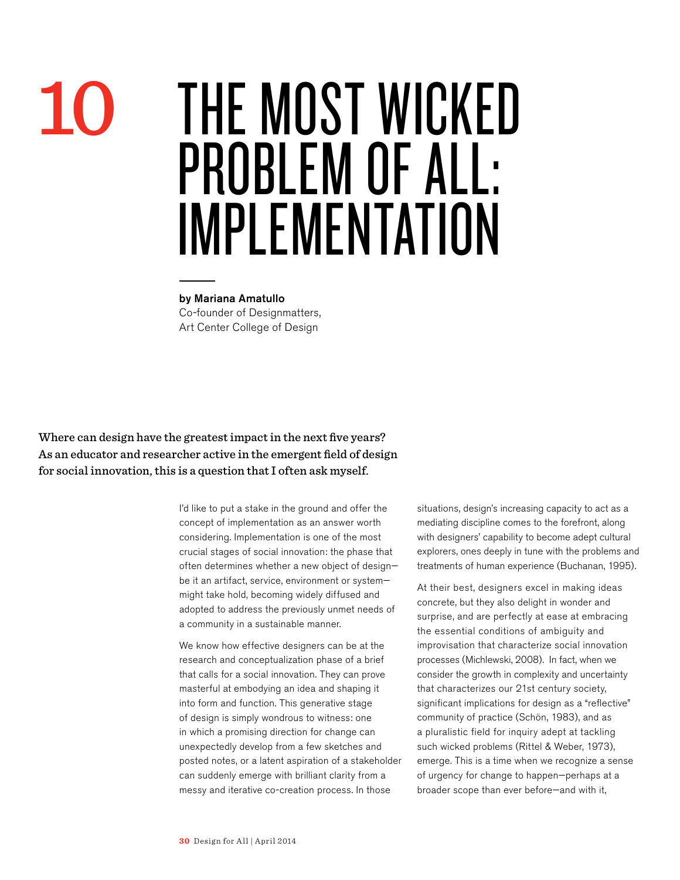## THE Most Wicked Problem of All: Implementation

by Mariana Amatullo Co-founder of Designmatters, Art Center College of Design

Where can design have the greatest impact in the next five years? As an educator and researcher active in the emergent field of design for social innovation, this is a question that I often ask myself.

10

I'd like to put a stake in the ground and offer the concept of implementation as an answer worth considering. Implementation is one of the most crucial stages of social innovation: the phase that often determines whether a new object of design be it an artifact, service, environment or system might take hold, becoming widely diffused and adopted to address the previously unmet needs of a community in a sustainable manner.

We know how effective designers can be at the research and conceptualization phase of a brief that calls for a social innovation. They can prove masterful at embodying an idea and shaping it into form and function. This generative stage of design is simply wondrous to witness: one in which a promising direction for change can unexpectedly develop from a few sketches and posted notes, or a latent aspiration of a stakeholder can suddenly emerge with brilliant clarity from a messy and iterative co-creation process. In those

situations, design's increasing capacity to act as a mediating discipline comes to the forefront, along with designers' capability to become adept cultural explorers, ones deeply in tune with the problems and treatments of human experience (Buchanan, 1995).

At their best, designers excel in making ideas concrete, but they also delight in wonder and surprise, and are perfectly at ease at embracing the essential conditions of ambiguity and improvisation that characterize social innovation processes (Michlewski, 2008). In fact, when we consider the growth in complexity and uncertainty that characterizes our 21st century society, significant implications for design as a "reflective" community of practice (Schön, 1983), and as a pluralistic field for inquiry adept at tackling such wicked problems (Rittel & Weber, 1973), emerge. This is a time when we recognize a sense of urgency for change to happen—perhaps at a broader scope than ever before—and with it,